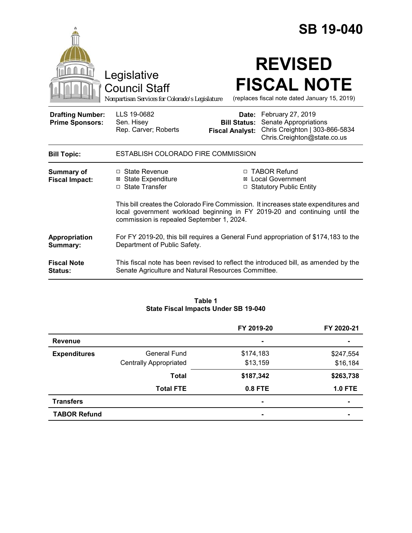|                                                   |                                                                                                                                                                                                                |                                               | <b>SB 19-040</b>                                                                                                  |  |
|---------------------------------------------------|----------------------------------------------------------------------------------------------------------------------------------------------------------------------------------------------------------------|-----------------------------------------------|-------------------------------------------------------------------------------------------------------------------|--|
|                                                   | Legislative<br><b>Council Staff</b><br>Nonpartisan Services for Colorado's Legislature                                                                                                                         |                                               | <b>REVISED</b><br><b>FISCAL NOTE</b><br>(replaces fiscal note dated January 15, 2019)                             |  |
| <b>Drafting Number:</b><br><b>Prime Sponsors:</b> | LLS 19-0682<br>Sen. Hisey<br>Rep. Carver; Roberts                                                                                                                                                              | <b>Bill Status:</b><br><b>Fiscal Analyst:</b> | Date: February 27, 2019<br>Senate Appropriations<br>Chris Creighton   303-866-5834<br>Chris.Creighton@state.co.us |  |
| <b>Bill Topic:</b>                                | ESTABLISH COLORADO FIRE COMMISSION                                                                                                                                                                             |                                               |                                                                                                                   |  |
| <b>Summary of</b><br><b>Fiscal Impact:</b>        | □ State Revenue<br><b>⊠</b> State Expenditure<br>□ State Transfer                                                                                                                                              | ⊠<br>□                                        | □ TABOR Refund<br><b>Local Government</b><br><b>Statutory Public Entity</b>                                       |  |
|                                                   | This bill creates the Colorado Fire Commission. It increases state expenditures and<br>local government workload beginning in FY 2019-20 and continuing until the<br>commission is repealed September 1, 2024. |                                               |                                                                                                                   |  |
| Appropriation<br>Summary:                         | For FY 2019-20, this bill requires a General Fund appropriation of \$174,183 to the<br>Department of Public Safety.                                                                                            |                                               |                                                                                                                   |  |
| <b>Fiscal Note</b><br>Status:                     | This fiscal note has been revised to reflect the introduced bill, as amended by the<br>Senate Agriculture and Natural Resources Committee.                                                                     |                                               |                                                                                                                   |  |

### **Table 1 State Fiscal Impacts Under SB 19-040**

|                     |                               | FY 2019-20 | FY 2020-21     |
|---------------------|-------------------------------|------------|----------------|
| <b>Revenue</b>      |                               | ٠          | $\blacksquare$ |
| <b>Expenditures</b> | General Fund                  | \$174,183  | \$247,554      |
|                     | <b>Centrally Appropriated</b> | \$13,159   | \$16,184       |
|                     | <b>Total</b>                  | \$187,342  | \$263,738      |
|                     | <b>Total FTE</b>              | 0.8 FTE    | <b>1.0 FTE</b> |
| <b>Transfers</b>    |                               | ۰          | $\blacksquare$ |
| <b>TABOR Refund</b> |                               | ۰          | $\blacksquare$ |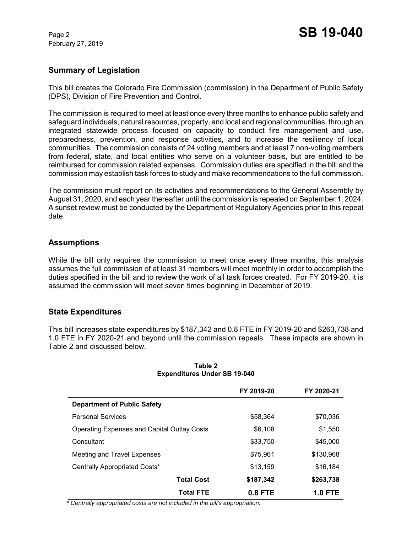February 27, 2019

# **Summary of Legislation**

This bill creates the Colorado Fire Commission (commission) in the Department of Public Safety (DPS), Division of Fire Prevention and Control.

The commission is required to meet at least once every three months to enhance public safety and safeguard individuals, natural resources, property, and local and regional communities, through an integrated statewide process focused on capacity to conduct fire management and use, preparedness, prevention, and response activities, and to increase the resiliency of local communities. The commission consists of 24 voting members and at least 7 non-voting members from federal, state, and local entities who serve on a volunteer basis, but are entitled to be reimbursed for commission related expenses. Commission duties are specified in the bill and the commission may establish task forces to study and make recommendations to the full commission.

The commission must report on its activities and recommendations to the General Assembly by August 31, 2020, and each year thereafter until the commission is repealed on September 1, 2024. A sunset review must be conducted by the Department of Regulatory Agencies prior to this repeal date.

# **Assumptions**

While the bill only requires the commission to meet once every three months, this analysis assumes the full commission of at least 31 members will meet monthly in order to accomplish the duties specified in the bill and to review the work of all task forces created. For FY 2019-20, it is assumed the commission will meet seven times beginning in December of 2019.

# **State Expenditures**

This bill increases state expenditures by \$187,342 and 0.8 FTE in FY 2019-20 and \$263,738 and 1.0 FTE in FY 2020-21 and beyond until the commission repeals. These impacts are shown in Table 2 and discussed below.

|                                             | FY 2019-20 | FY 2020-21     |
|---------------------------------------------|------------|----------------|
| <b>Department of Public Safety</b>          |            |                |
| <b>Personal Services</b>                    | \$58,364   | \$70,036       |
| Operating Expenses and Capital Outlay Costs | \$6,108    | \$1,550        |
| Consultant                                  | \$33,750   | \$45,000       |
| Meeting and Travel Expenses                 | \$75,961   | \$130,968      |
| Centrally Appropriated Costs*               | \$13,159   | \$16,184       |
| <b>Total Cost</b>                           | \$187,342  | \$263,738      |
| <b>Total FTE</b>                            | $0.8$ FTE  | <b>1.0 FTE</b> |

#### **Table 2 Expenditures Under SB 19-040**

 *\* Centrally appropriated costs are not included in the bill's appropriation.*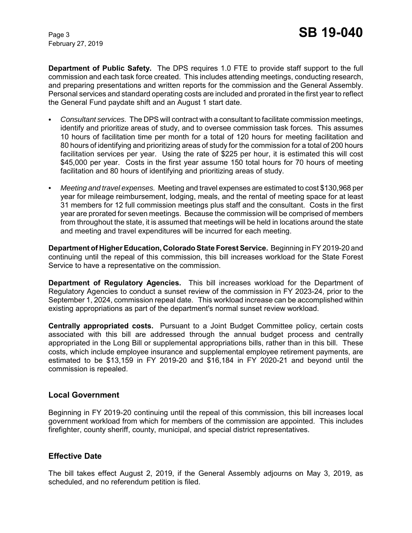February 27, 2019

**Department of Public Safety.** The DPS requires 1.0 FTE to provide staff support to the full commission and each task force created. This includes attending meetings, conducting research, and preparing presentations and written reports for the commission and the General Assembly. Personal services and standard operating costs are included and prorated in the first year to reflect the General Fund paydate shift and an August 1 start date.

- C *Consultant services.* The DPS will contract with a consultant to facilitate commission meetings, identify and prioritize areas of study, and to oversee commission task forces. This assumes 10 hours of facilitation time per month for a total of 120 hours for meeting facilitation and 80 hours of identifying and prioritizing areas of study for the commission for a total of 200 hours facilitation services per year. Using the rate of \$225 per hour, it is estimated this will cost \$45,000 per year. Costs in the first year assume 150 total hours for 70 hours of meeting facilitation and 80 hours of identifying and prioritizing areas of study.
- *Meeting and travel expenses.* Meeting and travel expenses are estimated to cost \$130,968 per year for mileage reimbursement, lodging, meals, and the rental of meeting space for at least 31 members for 12 full commission meetings plus staff and the consultant. Costs in the first year are prorated for seven meetings. Because the commission will be comprised of members from throughout the state, it is assumed that meetings will be held in locations around the state and meeting and travel expenditures will be incurred for each meeting.

**Department of Higher Education, Colorado State Forest Service.** Beginning in FY 2019-20 and continuing until the repeal of this commission, this bill increases workload for the State Forest Service to have a representative on the commission.

**Department of Regulatory Agencies.** This bill increases workload for the Department of Regulatory Agencies to conduct a sunset review of the commission in FY 2023-24, prior to the September 1, 2024, commission repeal date. This workload increase can be accomplished within existing appropriations as part of the department's normal sunset review workload.

**Centrally appropriated costs.** Pursuant to a Joint Budget Committee policy, certain costs associated with this bill are addressed through the annual budget process and centrally appropriated in the Long Bill or supplemental appropriations bills, rather than in this bill. These costs, which include employee insurance and supplemental employee retirement payments, are estimated to be \$13,159 in FY 2019-20 and \$16,184 in FY 2020-21 and beyond until the commission is repealed.

### **Local Government**

Beginning in FY 2019-20 continuing until the repeal of this commission, this bill increases local government workload from which for members of the commission are appointed. This includes firefighter, county sheriff, county, municipal, and special district representatives.

### **Effective Date**

The bill takes effect August 2, 2019, if the General Assembly adjourns on May 3, 2019, as scheduled, and no referendum petition is filed.